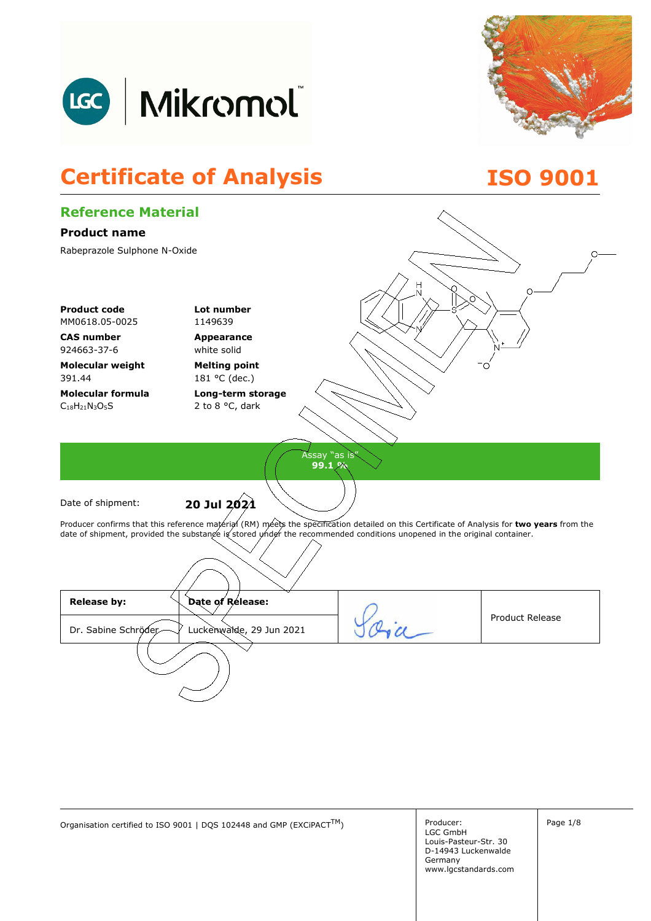



## **Certificate of Analysis ISO 9001**

| <b>Reference Material</b>        |                                                                                                                                             |               |                        |
|----------------------------------|---------------------------------------------------------------------------------------------------------------------------------------------|---------------|------------------------|
| <b>Product name</b>              |                                                                                                                                             |               |                        |
| Rabeprazole Sulphone N-Oxide     |                                                                                                                                             |               | Ω                      |
|                                  |                                                                                                                                             |               |                        |
|                                  |                                                                                                                                             | Η             |                        |
| <b>Product code</b>              | Lot number                                                                                                                                  |               |                        |
| MM0618.05-0025                   | 1149639                                                                                                                                     |               |                        |
| <b>CAS number</b><br>924663-37-6 | Appearance<br>white solid                                                                                                                   |               |                        |
| <b>Molecular weight</b>          | <b>Melting point</b>                                                                                                                        |               |                        |
| 391.44                           | 181 °C (dec.)                                                                                                                               |               |                        |
| <b>Molecular formula</b>         | Long-term storage                                                                                                                           |               |                        |
| $C_{18}H_{21}N_3O_5S$            | 2 to 8 °C, dark                                                                                                                             |               |                        |
|                                  |                                                                                                                                             |               |                        |
|                                  |                                                                                                                                             | Assay "as is" |                        |
|                                  |                                                                                                                                             | 99.1 %        |                        |
|                                  |                                                                                                                                             |               |                        |
| Date of shipment:                | 20 Jul 2021                                                                                                                                 |               |                        |
|                                  | Producer confirms that this reference material (RM) meets the specification detailed on this Certificate of Analysis for two years from the |               |                        |
|                                  | date of shipment, provided the substange is stored under the recommended conditions unopened in the original container.                     |               |                        |
|                                  |                                                                                                                                             |               |                        |
|                                  |                                                                                                                                             |               |                        |
| <b>Release by:</b>               | Date of Release:                                                                                                                            |               |                        |
| Dr. Sabine Schröder              | Luckenwalde, 29 Jun 2021                                                                                                                    |               | <b>Product Release</b> |
|                                  |                                                                                                                                             |               |                        |
|                                  |                                                                                                                                             |               |                        |
|                                  |                                                                                                                                             |               |                        |
|                                  |                                                                                                                                             |               |                        |
|                                  |                                                                                                                                             |               |                        |

Organisation certified to ISO 9001 | DQS 102448 and GMP (EXCiPACT<sup>TM</sup>) Producer:

LGC GmbH Louis-Pasteur-Str. 30 D-14943 Luckenwalde Germany www.lgcstandards.com Page 1/8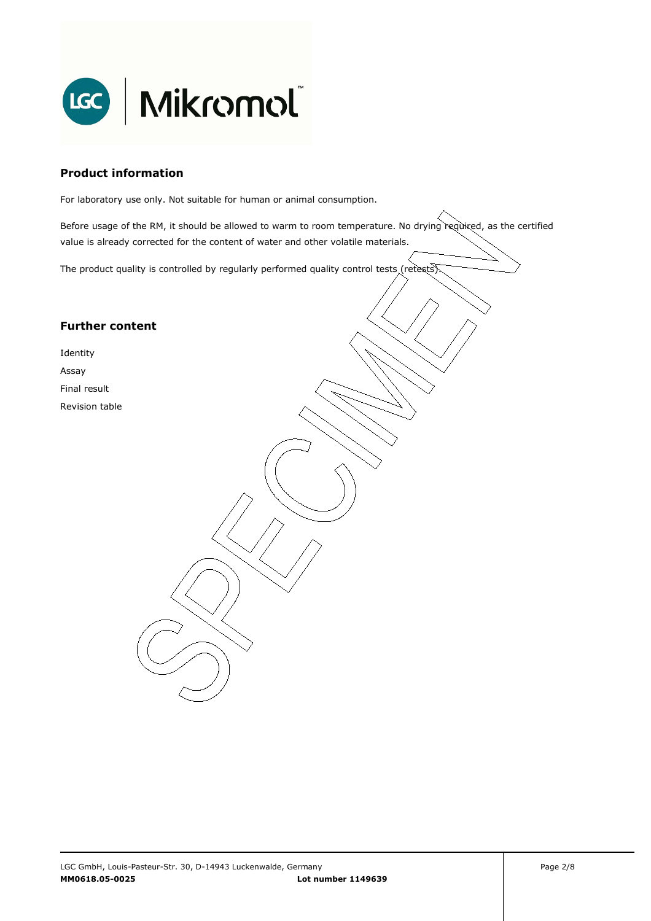

#### **Product information**

For laboratory use only. Not suitable for human or animal consumption.

Before usage of the RM, it should be allowed to warm to room temperature. No drying required, as the certified value is already corrected for the content of water and other volatile materials.

. The product quality is controlled by regularly performed quality control tests (retests).

#### **Further content**

Identity

Assay

Final result

Revision table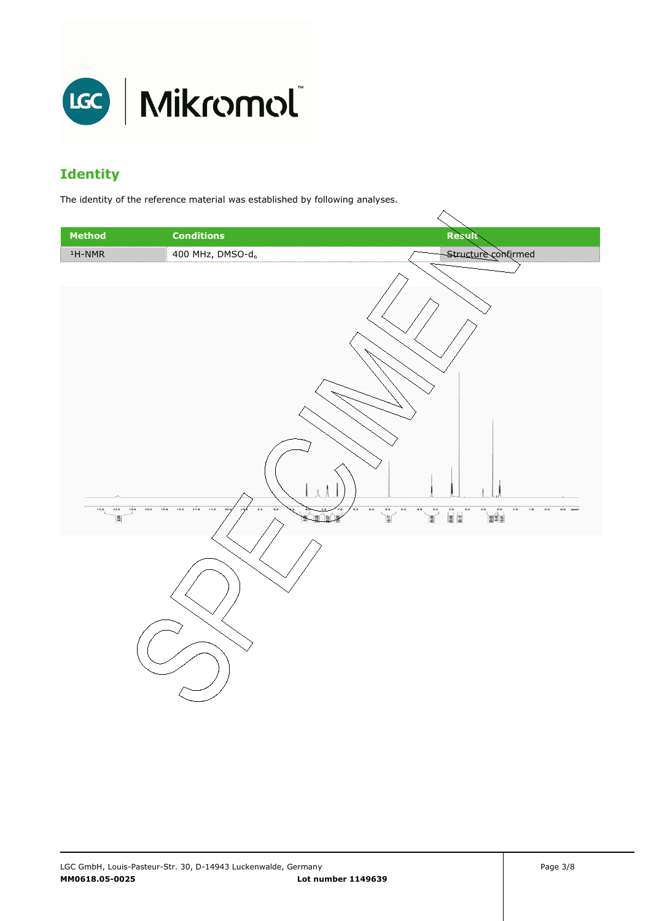

### **Identity**

The identity of the reference material was established by following analyses.

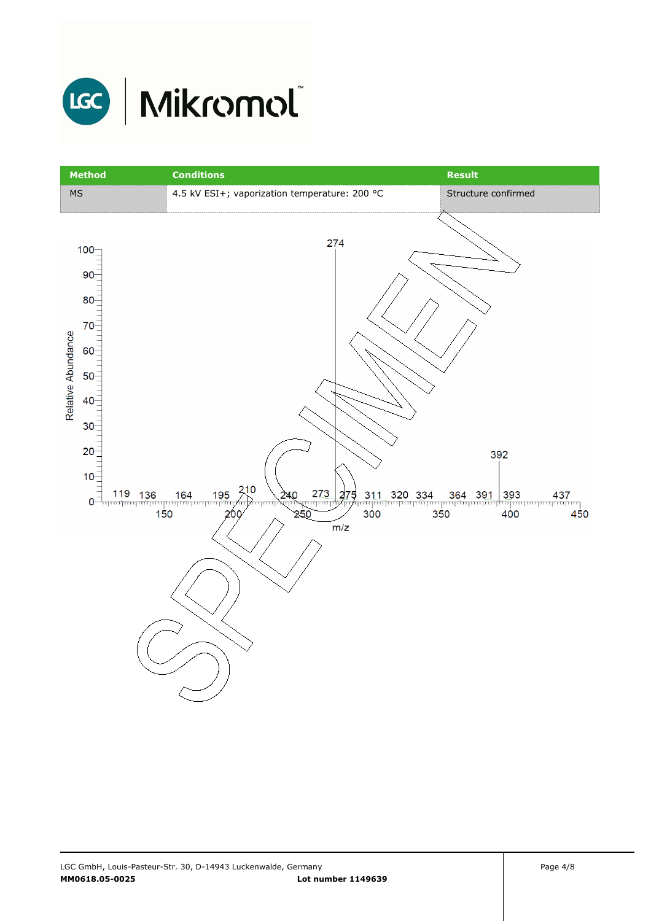

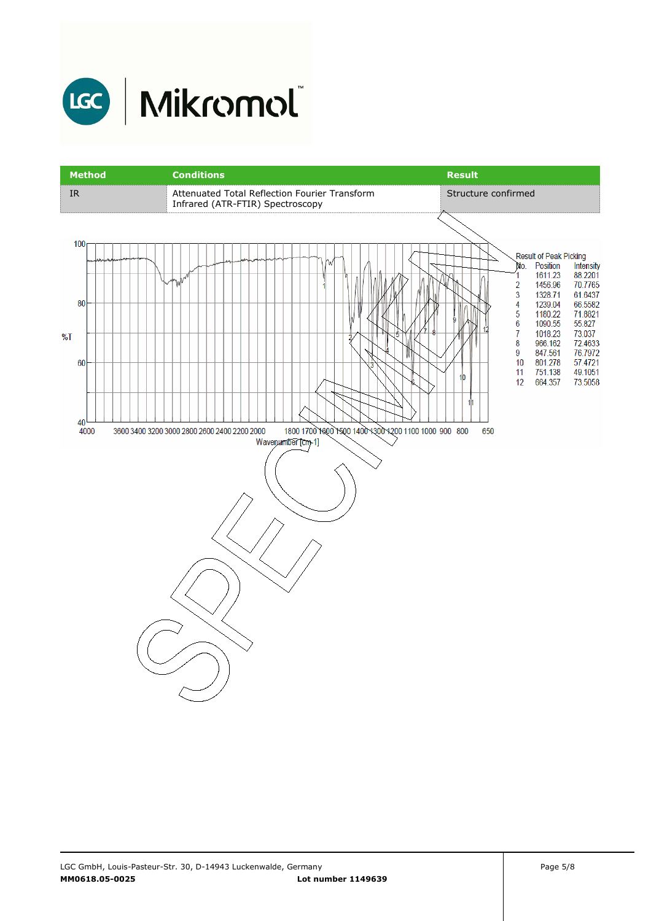

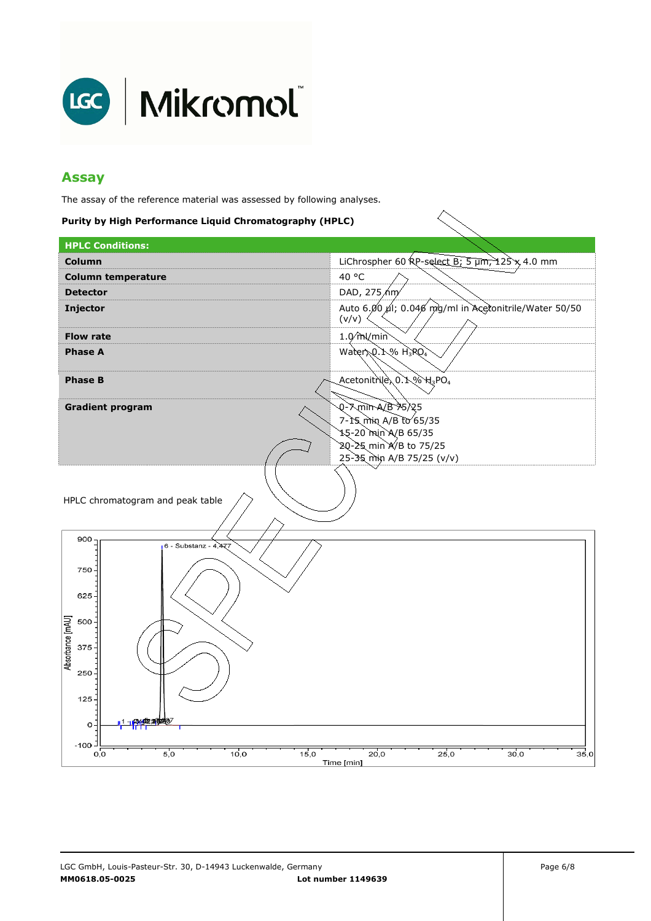

#### **Assay**

The assay of the reference material was assessed by following analyses.

#### **Purity by High Performance Liquid Chromatography (HPLC)**

| <b>HPLC Conditions:</b>                                                                                                                                                               |                                                                                                                              |  |
|---------------------------------------------------------------------------------------------------------------------------------------------------------------------------------------|------------------------------------------------------------------------------------------------------------------------------|--|
| Column                                                                                                                                                                                | LiChrospher 60 $RP$ -select B; 5 $\mu$ m, 125 x 4.0 mm                                                                       |  |
| <b>Column temperature</b>                                                                                                                                                             | 40 °C                                                                                                                        |  |
| <b>Detector</b>                                                                                                                                                                       | DAD, 275/hm                                                                                                                  |  |
| <b>Injector</b>                                                                                                                                                                       | Auto 6.00 µl; 0.046 mg/ml in Acertonitrile/Water 50/50<br>(v/v)                                                              |  |
| <b>Flow rate</b>                                                                                                                                                                      | $1.0m$ /min                                                                                                                  |  |
| <b>Phase A</b>                                                                                                                                                                        | Water Q.1% H3RO4                                                                                                             |  |
| <b>Phase B</b>                                                                                                                                                                        | Acetonitrile 0.1 % H3PO4                                                                                                     |  |
| <b>Gradient program</b>                                                                                                                                                               | <b>Q-7minA/B75/25</b><br>7-15 min A/B to 65/35<br>15-20 min A/B 65/35<br>20-25 min A/B to 75/25<br>25-35 min A/B 75/25 (v/v) |  |
| HPLC chromatogram and peak table<br>900<br>6 - Substanz - 4,477<br>750<br>625<br>Absorbance [mAU]<br>500<br>375<br>250<br>125<br>$\mathbf 0$<br>$-100$<br>15,0<br>10,0<br>5,0<br>O, O | 35,0<br>25,0<br>20,0<br>30,0                                                                                                 |  |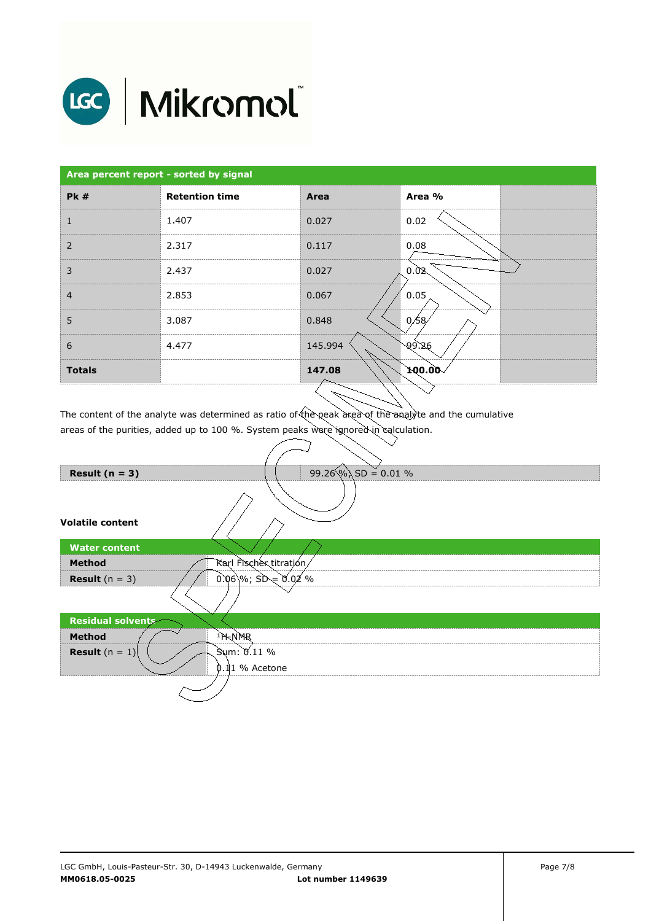

# LGC | Mikromol

| Area percent report - sorted by signal |                       |         |                       |
|----------------------------------------|-----------------------|---------|-----------------------|
| <b>Pk#</b>                             | <b>Retention time</b> | Area    | Area %                |
| 1                                      | 1.407                 | 0.027   | 0.02                  |
| 2                                      | 2.317                 | 0.117   | 0.08                  |
| 3                                      | 2.437                 | 0.027   | 0.02                  |
| $\overline{4}$                         | 2.853                 | 0.067   | 0.05                  |
| 5                                      | 3.087                 | 0.848   | 0/58/                 |
| 6                                      | 4.477                 | 145.994 | 99.26                 |
| <b>Totals</b>                          |                       | 147.08  | $\sim$ 00.00 $\sigma$ |
|                                        |                       | $\sim$  |                       |

The content of the analyte was determined as ratio of the peak area of the analyte and the cumulative areas of the purities, added up to 100 %. System peaks were ignored in calculation.

∍

| Result $(n = 3)$        | $99.26\%$ SD = 0.01 %  |
|-------------------------|------------------------|
| <b>Volatile content</b> |                        |
| <b>Water content</b>    |                        |
| <b>Method</b>           | Karl Fischer titration |
| <b>Result</b> $(n = 3)$ | $0.06$ %; SD = 0.02 %  |
|                         |                        |
| Residual solvents       |                        |
| <b>Method</b>           | <sup>1</sup> H-NMR     |
| <b>Result</b> $(n = 1)$ | Sum: 0.11 %            |
|                         | 0.11 % Acetone         |
|                         |                        |